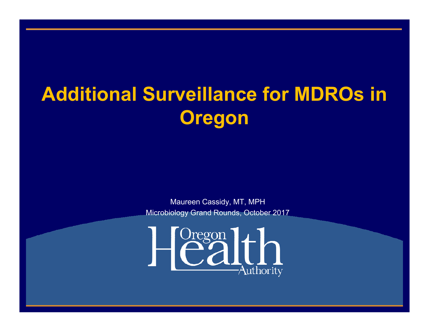# **Additional Surveillance for MDROs in Oregon**

Maureen Cassidy, MT, MPH Microbiology Grand Rounds, October 2017

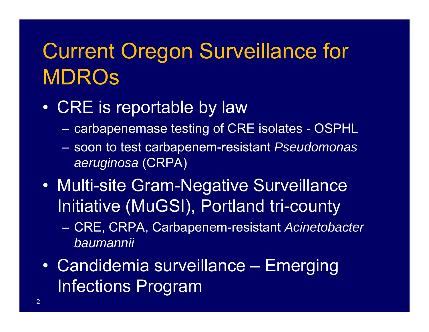# Current Oregon Surveillance for MDROs

#### $\bullet$ CRE is reportable by law

- –carbapenemase testing of CRE isolates - OSPHL
- – soon to test carbapenem-resistant *Pseudomonas aeruginosa* (CRPA)
- $\bullet$  Multi-site Gram-Negative Surveillance Initiative (MuGSI), Portland tri-county
	- – CRE, CRPA, Carbapenem-resistant *Acinetobacter baumannii*
- $\bullet$  Candidemia surveillance – Emerging Infections Program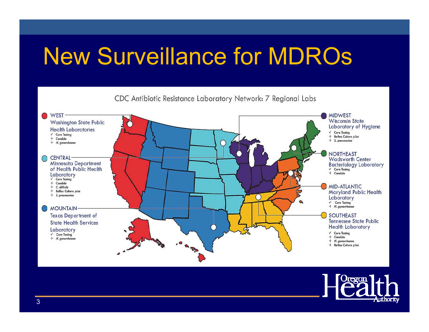# New Surveillance for MDROs



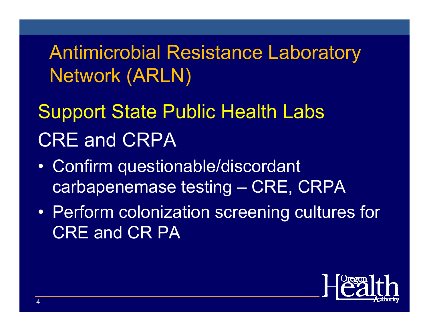Antimicrobial Resistance Laboratory Network (ARLN)

# Support State Public Health Labs CRE and CRPA

- • Confirm questionable/discordant carbapenemase testing – CRE, CRPA
- $\bullet$  Perform colonization screening cultures for CRE and CR PA

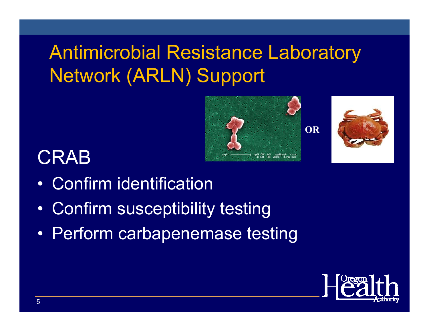## Antimicrobial Resistance Laboratory Network (ARLN) Support





#### **CRAB**

- $\bullet$ Confirm identification
- $\bullet$ Confirm susceptibility testing
- $\bullet$ Perform carbapenemase testing

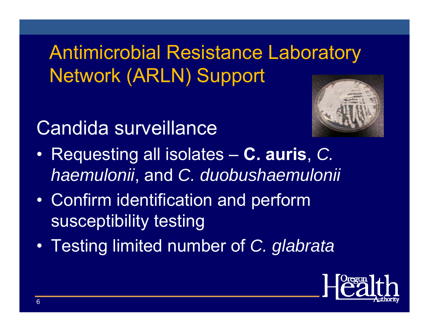## Antimicrobial Resistance Laboratory Network (ARLN) Support

#### Candida surveillance



- $\bullet$  Requesting all isolates – **C. auris**, *C. haemulonii*, and *C. duobushaemulonii*
- $\bullet$  Confirm identification and perform susceptibility testing
- $\bullet$ Testing limited number of *C. glabrata*

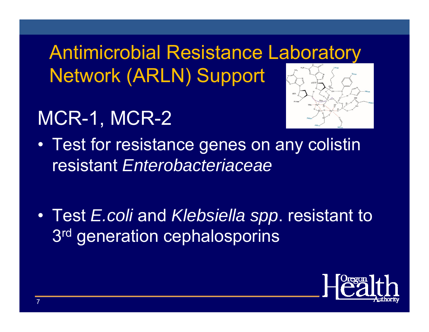Antimicrobial Resistance Laboratory Network (ARLN) Support

## MCR-1, MCR-2



- $\bullet$  Test for resistance genes on any colistin resistant *Enterobacteriaceae*
- Test *E.coli* and *Klebsiella spp*. resistant to 3<sup>rd</sup> generation cephalosporins

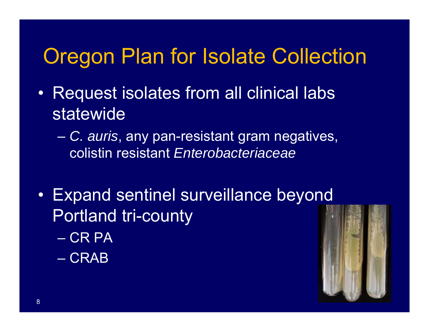### Oregon Plan for Isolate Collection

- • Request isolates from all clinical labs statewide
	- – *C. auris*, any pan-resistant gram negatives, colistin resistant *Enterobacteriaceae*
- Expand sentinel surveillance beyond Portland tri-county – CR PA
	- CRAB